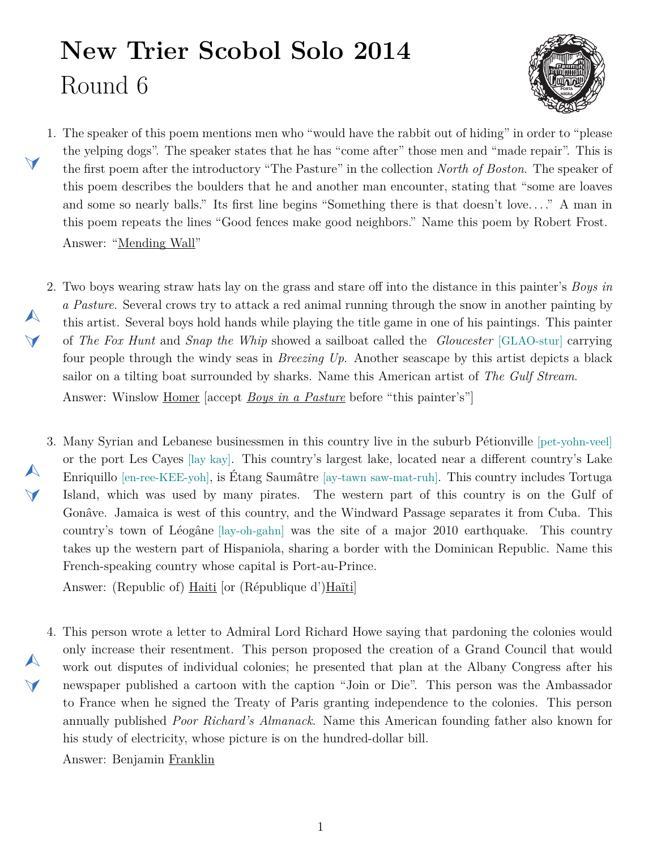## **New Trier Scobol Solo 2014** Round 6

 $\blacktriangleleft$ 

 $\blacktriangle$ 

 $\blacktriangle$ 

 $\blacktriangle$ 

 $\blacktriangleleft$ 



- <span id="page-0-1"></span>1. The speaker of this poem mentions men who "would have the rabbit out of hiding" in order to "please the yelping dogs". The speaker states that he has "come after" those men and "made repair". This is the first poem after the introductory "The Pasture" in the collection *North of Boston*. The speaker of this poem describes the boulders that he and another man encounter, stating that "some are loaves and some so nearly balls." Its first line begins "Something there is that doesn't love. . . ." A man in this poem repeats the lines "Good fences make good neighbors." Name this poem by Robert Frost. Answer: "Mending Wall"
- <span id="page-0-0"></span>2. Two boys wearing straw hats lay on the grass and stare off into the distance in this painter's *Boys in a Pasture*. Several crows try to attack a red animal running through the snow in another painting by this artist. Several boys hold hands while playing the title game in one of his paintings. This painter of *The Fox Hunt* and *Snap the Whip* showed a sailboat called the *Gloucester* [GLAO-stur] carrying four people through the windy seas in *Breezing Up*. Another seascape by this artist depicts a black sailor on a tilting boat surrounded by sharks. Name this American artist of *The Gulf Stream*. Answer: Winslow Homer [accept *Boys in a Pasture* before "this painter's"]
- <span id="page-0-2"></span>3. Many Syrian and Lebanese businessmen in this country live in the suburb Pétionville [pet-yohn-veel] or the port Les Cayes [lay kay]. This country's largest lake, located near a different country's Lake Enriquillo [en-ree-KEE-yoh], is Étang Saumâtre [ay-tawn saw-mat-ruh]. This country includes Tortuga Island, which was used by many pirates. The western part of this country is on the Gulf of Gonâve. Jamaica is west of this country, and the Windward Passage separates it from Cuba. This country's town of Léogâne [lay-oh-gahn] was the site of a major 2010 earthquake. This country takes up the western part of Hispaniola, sharing a border with the Dominican Republic. Name this French-speaking country whose capital is Port-au-Prince.

Answer: (Republic of) Haiti [or (République d')Haïti]

<span id="page-0-3"></span>4. This person wrote a letter to Admiral Lord Richard Howe saying that pardoning the colonies would  $\blacktriangle$  $\blacktriangleleft$ only increase their resentment. This person proposed the creation of a Grand Council that would work out disputes of individual colonies; he presented that plan at the Albany Congress after his newspaper published a cartoon with the caption "Join or Die". This person was the Ambassador to France when he signed the Treaty of Paris granting independence to the colonies. This person annually published *Poor Richard's Almanack*. Name this American founding father also known for his study of electricity, whose picture is on the hundred-dollar bill.

Answer: Benjamin Franklin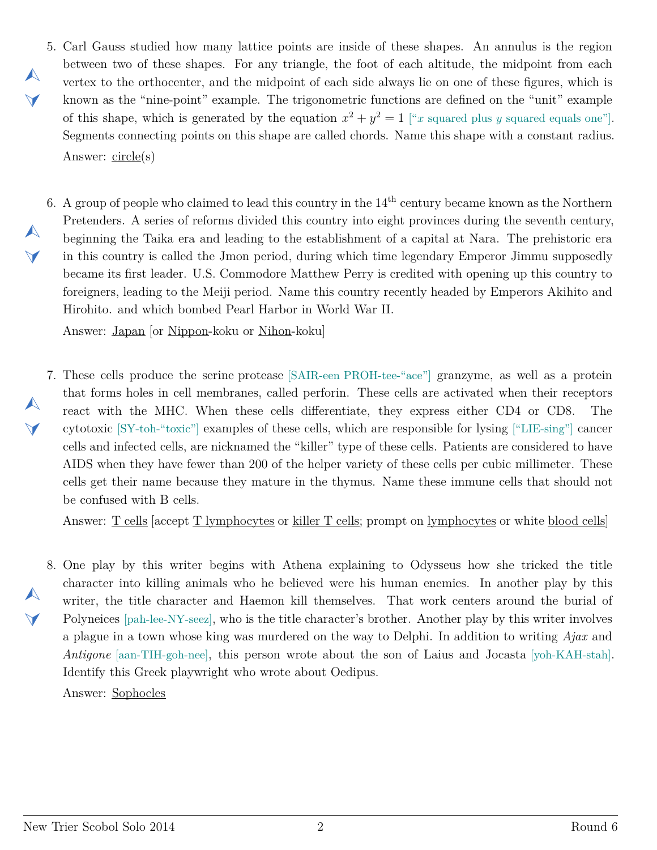- <span id="page-1-0"></span>5. Carl Gauss studied how many lattice points are inside of these shapes. An annulus is the region between two of these shapes. For any triangle, the foot of each altitude, the midpoint from each vertex to the orthocenter, and the midpoint of each side always lie on one of these figures, which is known as the "nine-point" example. The trigonometric functions are defined on the "unit" example of this shape, which is generated by the equation  $x^2 + y^2 = 1$  ["*x* squared plus *y* squared equals one"]. Segments connecting points on this shape are called chords. Name this shape with a constant radius. Answer: circle(s)
- <span id="page-1-1"></span>6. A group of people who claimed to lead this country in the  $14<sup>th</sup>$  century became known as the Northern Pretenders. A series of reforms divided this country into eight provinces during the seventh century, beginning the Taika era and leading to the establishment of a capital at Nara. The prehistoric era in this country is called the Jmon period, during which time legendary Emperor Jimmu supposedly became its first leader. U.S. Commodore Matthew Perry is credited with opening up this country to foreigners, leading to the Meiji period. Name this country recently headed by Emperors Akihito and Hirohito. and which bombed Pearl Harbor in World War II. Answer: Japan [or Nippon-koku or Nihon-koku]

<span id="page-1-2"></span>7. These cells produce the serine protease [SAIR-een PROH-tee-"ace"] granzyme, as well as a protein that forms holes in cell membranes, called perforin. These cells are activated when their receptors react with the MHC. When these cells differentiate, they express either CD4 or CD8. The cytotoxic [SY-toh-"toxic"] examples of these cells, which are responsible for lysing ["LIE-sing"] cancer cells and infected cells, are nicknamed the "killer" type of these cells. Patients are considered to have AIDS when they have fewer than 200 of the helper variety of these cells per cubic millimeter. These cells get their name because they mature in the thymus. Name these immune cells that should not be confused with B cells.

Answer: T cells [accept T lymphocytes or killer T cells; prompt on lymphocytes or white blood cells]

<span id="page-1-3"></span>8. One play by this writer begins with Athena explaining to Odysseus how she tricked the title character into killing animals who he believed were his human enemies. In another play by this writer, the title character and Haemon kill themselves. That work centers around the burial of Polyneices [pah-lee-NY-seez], who is the title character's brother. Another play by this writer involves a plague in a town whose king was murdered on the way to Delphi. In addition to writing *Ajax* and *Antigone* [aan-TIH-goh-nee], this person wrote about the son of Laius and Jocasta [yoh-KAH-stah]. Identify this Greek playwright who wrote about Oedipus.

Answer: Sophocles

 $\blacktriangle$ 

 $\blacktriangleleft$ 

 $\blacktriangle$ 

 $\blacktriangleleft$ 

 $\blacktriangle$ 

 $\blacktriangledown$ 

 $\blacktriangle$ 

 $\blacktriangleleft$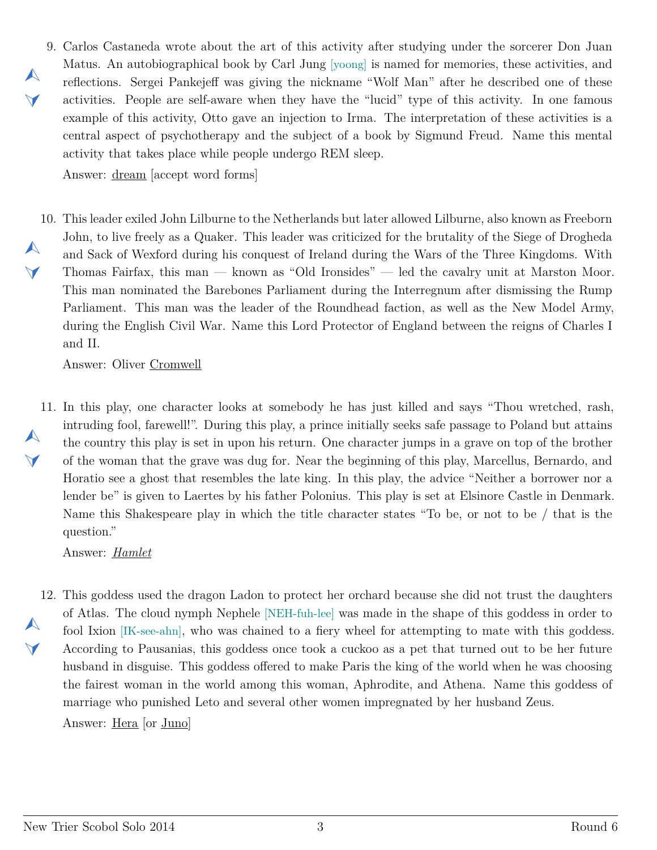<span id="page-2-0"></span>9. Carlos Castaneda wrote about the art of this activity after studying under the sorcerer Don Juan  $\blacktriangle$  $\blacktriangleleft$ Matus. An autobiographical book by Carl Jung [yoong] is named for memories, these activities, and reflections. Sergei Pankejeff was giving the nickname "Wolf Man" after he described one of these activities. People are self-aware when they have the "lucid" type of this activity. In one famous example of this activity, Otto gave an injection to Irma. The interpretation of these activities is a central aspect of psychotherapy and the subject of a book by Sigmund Freud. Name this mental activity that takes place while people undergo REM sleep.

Answer: dream [accept word forms]

<span id="page-2-1"></span>10. This leader exiled John Lilburne to the Netherlands but later allowed Lilburne, also known as Freeborn  $\blacktriangle$  $\blacktriangleleft$ John, to live freely as a Quaker. This leader was criticized for the brutality of the Siege of Drogheda and Sack of Wexford during his conquest of Ireland during the Wars of the Three Kingdoms. With Thomas Fairfax, this man — known as "Old Ironsides" — led the cavalry unit at Marston Moor. This man nominated the Barebones Parliament during the Interregnum after dismissing the Rump Parliament. This man was the leader of the Roundhead faction, as well as the New Model Army, during the English Civil War. Name this Lord Protector of England between the reigns of Charles I and II.

Answer: Oliver Cromwell

<span id="page-2-2"></span>11. In this play, one character looks at somebody he has just killed and says "Thou wretched, rash,  $\blacktriangle$  $\blacktriangleleft$ intruding fool, farewell!". During this play, a prince initially seeks safe passage to Poland but attains the country this play is set in upon his return. One character jumps in a grave on top of the brother of the woman that the grave was dug for. Near the beginning of this play, Marcellus, Bernardo, and Horatio see a ghost that resembles the late king. In this play, the advice "Neither a borrower nor a lender be" is given to Laertes by his father Polonius. This play is set at Elsinore Castle in Denmark. Name this Shakespeare play in which the title character states "To be, or not to be / that is the question."

Answer: *Hamlet*

<span id="page-2-3"></span>12. This goddess used the dragon Ladon to protect her orchard because she did not trust the daughters  $\blacktriangle$  $\blacktriangledown$ of Atlas. The cloud nymph Nephele [NEH-fuh-lee] was made in the shape of this goddess in order to fool Ixion [IK-see-ahn], who was chained to a fiery wheel for attempting to mate with this goddess. According to Pausanias, this goddess once took a cuckoo as a pet that turned out to be her future husband in disguise. This goddess offered to make Paris the king of the world when he was choosing the fairest woman in the world among this woman, Aphrodite, and Athena. Name this goddess of marriage who punished Leto and several other women impregnated by her husband Zeus. Answer: Hera [or Juno]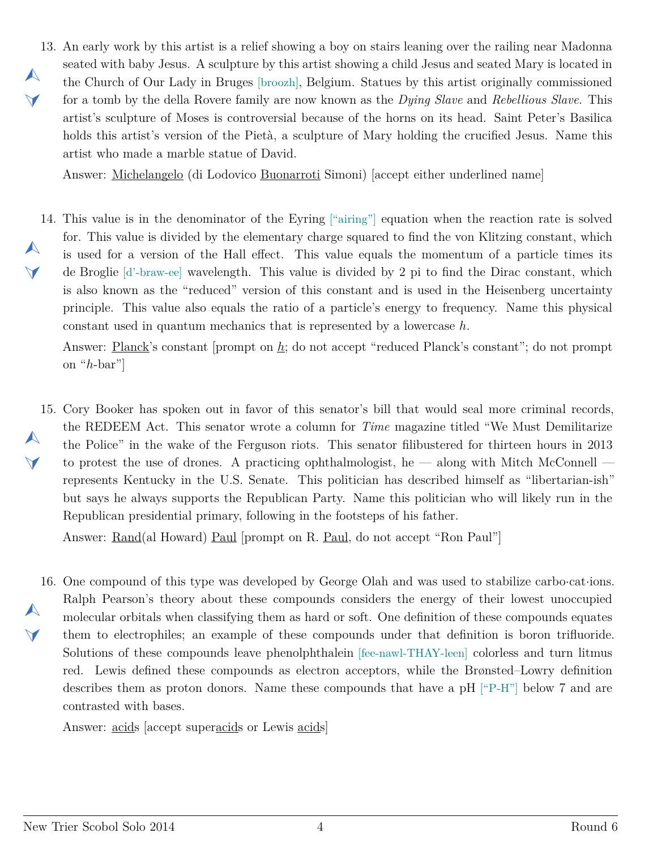<span id="page-3-0"></span>13. An early work by this artist is a relief showing a boy on stairs leaning over the railing near Madonna  $\blacktriangle$  $\blacktriangledown$ seated with baby Jesus. A sculpture by this artist showing a child Jesus and seated Mary is located in the Church of Our Lady in Bruges [broozh], Belgium. Statues by this artist originally commissioned for a tomb by the della Rovere family are now known as the *Dying Slave* and *Rebellious Slave*. This artist's sculpture of Moses is controversial because of the horns on its head. Saint Peter's Basilica holds this artist's version of the Pietà, a sculpture of Mary holding the crucified Jesus. Name this artist who made a marble statue of David.

Answer: Michelangelo (di Lodovico Buonarroti Simoni) [accept either underlined name]

<span id="page-3-1"></span>14. This value is in the denominator of the Eyring ["airing"] equation when the reaction rate is solved  $\blacktriangle$  $\blacktriangledown$ for. This value is divided by the elementary charge squared to find the von Klitzing constant, which is used for a version of the Hall effect. This value equals the momentum of a particle times its de Broglie [d'-braw-ee] wavelength. This value is divided by 2 pi to find the Dirac constant, which is also known as the "reduced" version of this constant and is used in the Heisenberg uncertainty principle. This value also equals the ratio of a particle's energy to frequency. Name this physical constant used in quantum mechanics that is represented by a lowercase *h*.

Answer: <u>Planck's constant [prompt on  $h$ </u>; do not accept "reduced Planck's constant"; do not prompt on "*h*-bar"]

<span id="page-3-2"></span>15. Cory Booker has spoken out in favor of this senator's bill that would seal more criminal records,  $\blacktriangle$  $\blacktriangledown$ the REDEEM Act. This senator wrote a column for *Time* magazine titled "We Must Demilitarize the Police" in the wake of the Ferguson riots. This senator filibustered for thirteen hours in 2013 to protest the use of drones. A practicing ophthalmologist, he — along with Mitch McConnell represents Kentucky in the U.S. Senate. This politician has described himself as "libertarian-ish" but says he always supports the Republican Party. Name this politician who will likely run in the Republican presidential primary, following in the footsteps of his father.

Answer: Rand(al Howard) Paul [prompt on R. Paul, do not accept "Ron Paul"]

<span id="page-3-3"></span>16. One compound of this type was developed by George Olah and was used to stabilize carbo*·*cat*·*ions.  $\blacktriangle$  $\blacktriangledown$ Ralph Pearson's theory about these compounds considers the energy of their lowest unoccupied molecular orbitals when classifying them as hard or soft. One definition of these compounds equates them to electrophiles; an example of these compounds under that definition is boron trifluoride. Solutions of these compounds leave phenolphthalein [fee-nawl-THAY-leen] colorless and turn litmus red. Lewis defined these compounds as electron acceptors, while the Brønsted–Lowry definition describes them as proton donors. Name these compounds that have a pH ["P-H"] below 7 and are contrasted with bases.

Answer: acids [accept superacids or Lewis acids]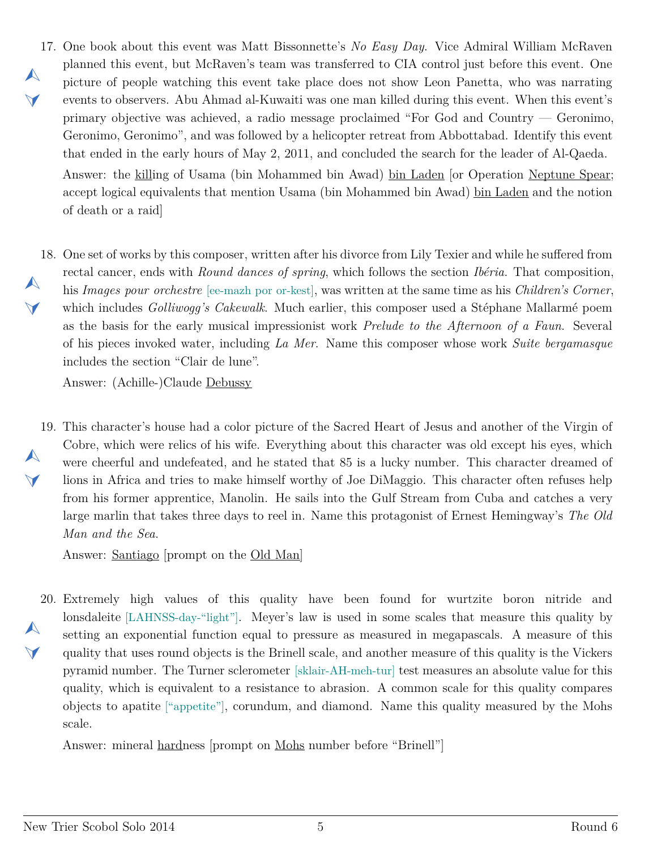- <span id="page-4-0"></span>17. One book about this event was Matt Bissonnette's *No Easy Day*. Vice Admiral William McRaven  $\blacktriangle$  $\blacktriangleleft$ planned this event, but McRaven's team was transferred to CIA control just before this event. One picture of people watching this event take place does not show Leon Panetta, who was narrating events to observers. Abu Ahmad al-Kuwaiti was one man killed during this event. When this event's primary objective was achieved, a radio message proclaimed "For God and Country — Geronimo, Geronimo, Geronimo", and was followed by a helicopter retreat from Abbottabad. Identify this event that ended in the early hours of May 2, 2011, and concluded the search for the leader of Al-Qaeda. Answer: the killing of Usama (bin Mohammed bin Awad) bin Laden [or Operation Neptune Spear; accept logical equivalents that mention Usama (bin Mohammed bin Awad) bin Laden and the notion of death or a raid]
- <span id="page-4-1"></span>18. One set of works by this composer, written after his divorce from Lily Texier and while he suffered from  $\blacktriangle$  $\blacktriangledown$ rectal cancer, ends with *Round dances of spring*, which follows the section *Ibéria*. That composition, his *Images pour orchestre* [ee-mazh por or-kest], was written at the same time as his *Children's Corner*, which includes *Golliwogg's Cakewalk*. Much earlier, this composer used a Stéphane Mallarmé poem as the basis for the early musical impressionist work *Prelude to the Afternoon of a Faun*. Several of his pieces invoked water, including *La Mer*. Name this composer whose work *Suite bergamasque* includes the section "Clair de lune".

Answer: (Achille-)Claude Debussy

<span id="page-4-2"></span>19. This character's house had a color picture of the Sacred Heart of Jesus and another of the Virgin of  $\blacktriangle$  $\blacktriangledown$ Cobre, which were relics of his wife. Everything about this character was old except his eyes, which were cheerful and undefeated, and he stated that 85 is a lucky number. This character dreamed of lions in Africa and tries to make himself worthy of Joe DiMaggio. This character often refuses help from his former apprentice, Manolin. He sails into the Gulf Stream from Cuba and catches a very large marlin that takes three days to reel in. Name this protagonist of Ernest Hemingway's *The Old Man and the Sea*.

Answer: Santiago [prompt on the Old Man]

<span id="page-4-3"></span>20. Extremely high values of this quality have been found for wurtzite boron nitride and  $\blacktriangle$  $\blacktriangledown$ lonsdaleite [LAHNSS-day-"light"]. Meyer's law is used in some scales that measure this quality by setting an exponential function equal to pressure as measured in megapascals. A measure of this quality that uses round objects is the Brinell scale, and another measure of this quality is the Vickers pyramid number. The Turner sclerometer [sklair-AH-meh-tur] test measures an absolute value for this quality, which is equivalent to a resistance to abrasion. A common scale for this quality compares objects to apatite ["appetite"], corundum, and diamond. Name this quality measured by the Mohs scale.

Answer: mineral hardness [prompt on Mohs number before "Brinell"]